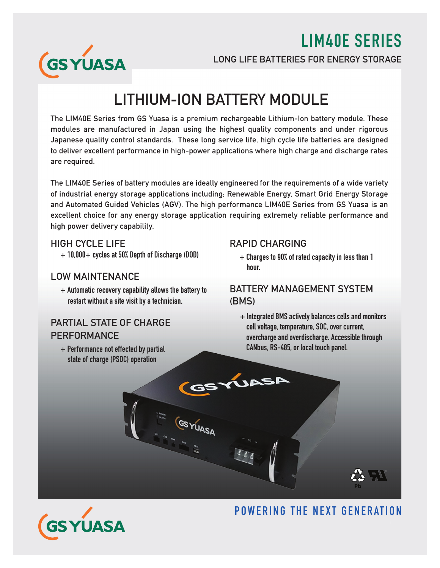LIM40E SERIES



LONG LIFE BATTERIES FOR ENERGY STORAGE

# LITHIUM-ION BATTERY MODULE

The LIM40E Series from GS Yuasa is a premium rechargeable Lithium-Ion battery module. These modules are manufactured in Japan using the highest quality components and under rigorous Japanese quality control standards. These long service life, high cycle life batteries are designed to deliver excellent performance in high-power applications where high charge and discharge rates are required.

The LIM40E Series of battery modules are ideally engineered for the requirements of a wide variety of industrial energy storage applications including; Renewable Energy, Smart Grid Energy Storage and Automated Guided Vehicles (AGV). The high performance LIM40E Series from GS Yuasa is an excellent choice for any energy storage application requiring extremely reliable performance and high power delivery capability.

#### HIGH CYCLE LIFE

+ 10,000+ cycles at 50% Depth of Discharge (DOD)

#### LOW MAINTENANCE

 $+$  Automatic recovery capability allows the battery to restart without a site visit by a technician.

### PARTIAL STATE OF CHARGE PERFORMANCE

 + Performance not effected by partial state of charge (PSOC) operation

**UASA** 

#### RAPID CHARGING

 + Charges to 90% of rated capacity in less than 1 hour.

#### BATTERY MANAGEMENT SYSTEM (BMS)

 $+$  Integrated BMS actively balances cells and monitors cell voltage, temperature, SOC, over current, overcharge and overdischarge. Accessible through CANbus, RS-485, or local touch panel.



# POWERING THE NEXT GENERATION